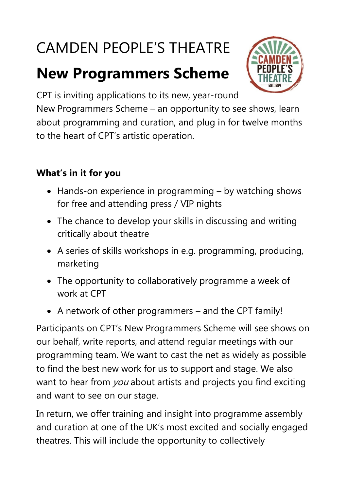# CAMDEN PEOPLE'S THEATRE

# **New Programmers Scheme**



CPT is inviting applications to its new, year-round

New Programmers Scheme – an opportunity to see shows, learn about programming and curation, and plug in for twelve months to the heart of CPT's artistic operation.

#### **What's in it for you**

- Hands-on experience in programming by watching shows for free and attending press / VIP nights
- The chance to develop your skills in discussing and writing critically about theatre
- A series of skills workshops in e.g. programming, producing, marketing
- The opportunity to collaboratively programme a week of work at CPT
- A network of other programmers and the CPT family!

Participants on CPT's New Programmers Scheme will see shows on our behalf, write reports, and attend regular meetings with our programming team. We want to cast the net as widely as possible to find the best new work for us to support and stage. We also want to hear from you about artists and projects you find exciting and want to see on our stage.

In return, we offer training and insight into programme assembly and curation at one of the UK's most excited and socially engaged theatres. This will include the opportunity to collectively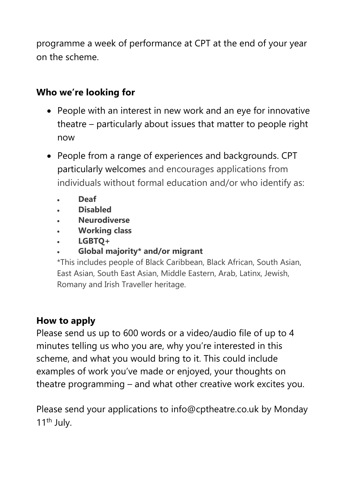programme a week of performance at CPT at the end of your year on the scheme.

#### **Who we're looking for**

- People with an interest in new work and an eye for innovative theatre – particularly about issues that matter to people right now
- People from a range of experiences and backgrounds. CPT particularly welcomes and encourages applications from individuals without formal education and/or who identify as:
	- **Deaf**
	- **Disabled**
	- **Neurodiverse**
	- **Working class**
	- **LGBTQ+**
	- **Global majority\* and/or migrant**

\*This includes people of Black Caribbean, Black African, South Asian, East Asian, South East Asian, Middle Eastern, Arab, Latinx, Jewish, Romany and Irish Traveller heritage.

#### **How to apply**

Please send us up to 600 words or a video/audio file of up to 4 minutes telling us who you are, why you're interested in this scheme, and what you would bring to it. This could include examples of work you've made or enjoyed, your thoughts on theatre programming – and what other creative work excites you.

Please send your applications to info@cptheatre.co.uk by Monday 11<sup>th</sup> July.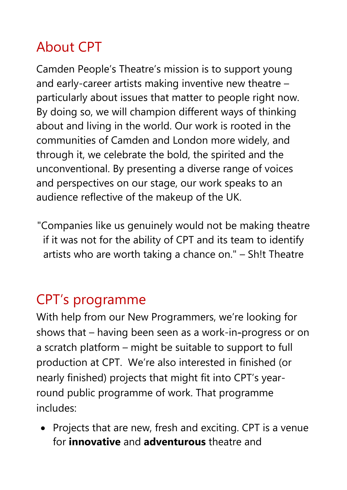## About CPT

Camden People's Theatre's mission is to support young and early-career artists making inventive new theatre – particularly about issues that matter to people right now. By doing so, we will champion different ways of thinking about and living in the world. Our work is rooted in the communities of Camden and London more widely, and through it, we celebrate the bold, the spirited and the unconventional. By presenting a diverse range of voices and perspectives on our stage, our work speaks to an audience reflective of the makeup of the UK.

"Companies like us genuinely would not be making theatre if it was not for the ability of CPT and its team to identify artists who are worth taking a chance on." – Sh!t Theatre

### CPT's programme

With help from our New Programmers, we're looking for shows that – having been seen as a work-in-progress or on a scratch platform – might be suitable to support to full production at CPT. We're also interested in finished (or nearly finished) projects that might fit into CPT's yearround public programme of work. That programme includes:

• Projects that are new, fresh and exciting. CPT is a venue for **innovative** and **adventurous** theatre and